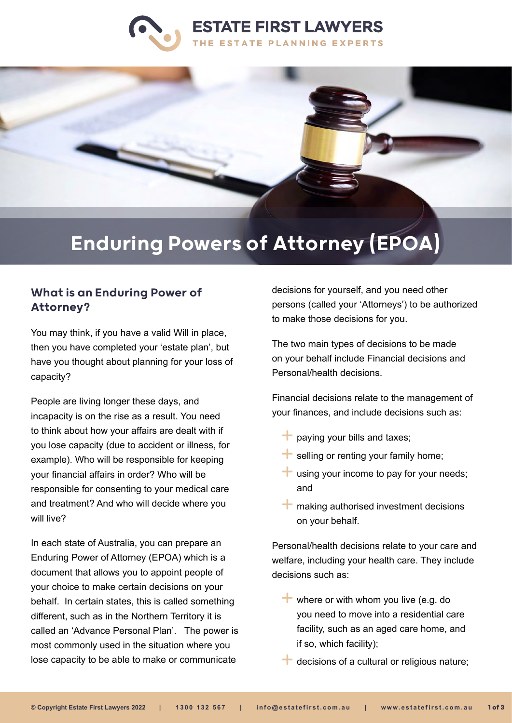



# Enduring Powers of Attorney (EPOA)

## What is an Enduring Power of Attorney?

You may think, if you have a valid Will in place, then you have completed your 'estate plan', but have you thought about planning for your loss of capacity?

People are living longer these days, and incapacity is on the rise as a result. You need to think about how your affairs are dealt with if you lose capacity (due to accident or illness, for example). Who will be responsible for keeping your financial affairs in order? Who will be responsible for consenting to your medical care and treatment? And who will decide where you will live?

In each state of Australia, you can prepare an Enduring Power of Attorney (EPOA) which is a document that allows you to appoint people of your choice to make certain decisions on your behalf. In certain states, this is called something different, such as in the Northern Territory it is called an 'Advance Personal Plan'. The power is most commonly used in the situation where you lose capacity to be able to make or communicate

decisions for yourself, and you need other persons (called your 'Attorneys') to be authorized to make those decisions for you.

The two main types of decisions to be made on your behalf include Financial decisions and Personal/health decisions.

Financial decisions relate to the management of your finances, and include decisions such as:

- $\blacksquare$  paying your bills and taxes;
- $\pm$  selling or renting your family home;
- $\pm$  using your income to pay for your needs; and
- $+$  making authorised investment decisions on your behalf.

Personal/health decisions relate to your care and welfare, including your health care. They include decisions such as:

- where or with whom you live (e.g. do you need to move into a residential care facility, such as an aged care home, and if so, which facility);
- $\blacksquare$  decisions of a cultural or religious nature;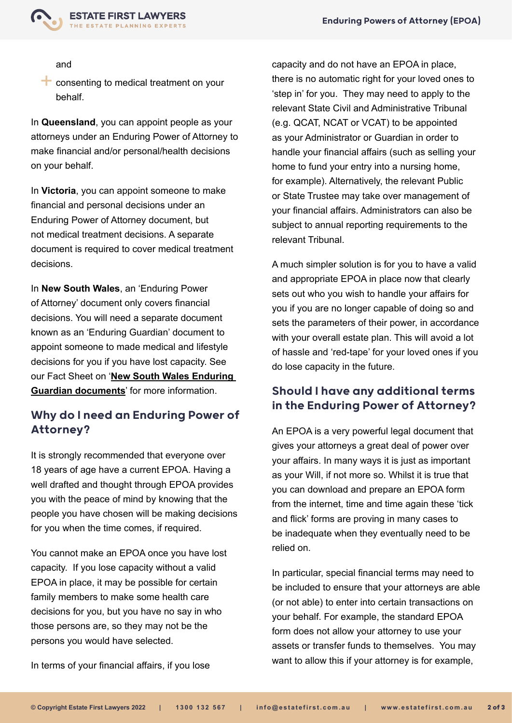

and

consenting to medical treatment on your behalf.

In **Queensland**, you can appoint people as your attorneys under an Enduring Power of Attorney to make financial and/or personal/health decisions on your behalf.

In **Victoria**, you can appoint someone to make financial and personal decisions under an Enduring Power of Attorney document, but not medical treatment decisions. A separate document is required to cover medical treatment decisions.

In **New South Wales**, an 'Enduring Power of Attorney' document only covers financial decisions. You will need a separate document known as an 'Enduring Guardian' document to appoint someone to made medical and lifestyle decisions for you if you have lost capacity. See our Fact Sheet on '**[New South Wales Enduring](https://www.estatefirst.com.au/estate-planning/enduring-powers-of-attorney/enduring-guardian)  [Guardian documents](https://www.estatefirst.com.au/estate-planning/enduring-powers-of-attorney/enduring-guardian)**' for more information.

# Why do I need an Enduring Power of Attorney?

It is strongly recommended that everyone over 18 years of age have a current EPOA. Having a well drafted and thought through EPOA provides you with the peace of mind by knowing that the people you have chosen will be making decisions for you when the time comes, if required.

You cannot make an EPOA once you have lost capacity. If you lose capacity without a valid EPOA in place, it may be possible for certain family members to make some health care decisions for you, but you have no say in who those persons are, so they may not be the persons you would have selected.

In terms of your financial affairs, if you lose

capacity and do not have an EPOA in place, there is no automatic right for your loved ones to 'step in' for you. They may need to apply to the relevant State Civil and Administrative Tribunal (e.g. QCAT, NCAT or VCAT) to be appointed as your Administrator or Guardian in order to handle your financial affairs (such as selling your home to fund your entry into a nursing home, for example). Alternatively, the relevant Public or State Trustee may take over management of your financial affairs. Administrators can also be subject to annual reporting requirements to the relevant Tribunal.

A much simpler solution is for you to have a valid and appropriate EPOA in place now that clearly sets out who you wish to handle your affairs for you if you are no longer capable of doing so and sets the parameters of their power, in accordance with your overall estate plan. This will avoid a lot of hassle and 'red-tape' for your loved ones if you do lose capacity in the future.

## Should I have any additional terms in the Enduring Power of Attorney?

An EPOA is a very powerful legal document that gives your attorneys a great deal of power over your affairs. In many ways it is just as important as your Will, if not more so. Whilst it is true that you can download and prepare an EPOA form from the internet, time and time again these 'tick and flick' forms are proving in many cases to be inadequate when they eventually need to be relied on.

In particular, special financial terms may need to be included to ensure that your attorneys are able (or not able) to enter into certain transactions on your behalf. For example, the standard EPOA form does not allow your attorney to use your assets or transfer funds to themselves. You may want to allow this if your attorney is for example,